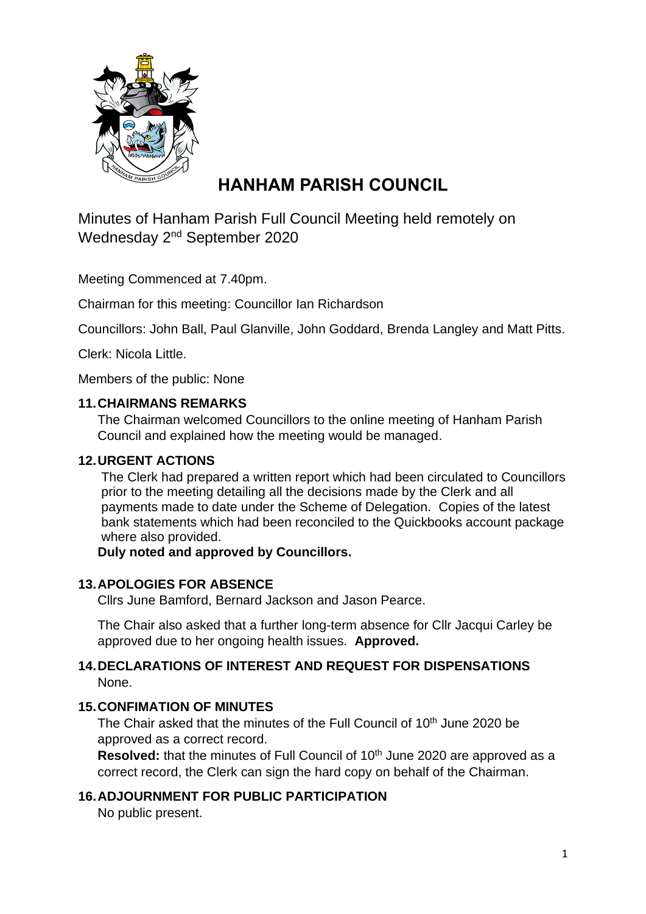

# **HANHAM PARISH COUNCIL**

Minutes of Hanham Parish Full Council Meeting held remotely on Wednesday 2<sup>nd</sup> September 2020

Meeting Commenced at 7.40pm.

Chairman for this meeting: Councillor Ian Richardson

Councillors: John Ball, Paul Glanville, John Goddard, Brenda Langley and Matt Pitts.

Clerk: Nicola Little.

Members of the public: None

#### **11.CHAIRMANS REMARKS**

The Chairman welcomed Councillors to the online meeting of Hanham Parish Council and explained how the meeting would be managed.

#### **12.URGENT ACTIONS**

The Clerk had prepared a written report which had been circulated to Councillors prior to the meeting detailing all the decisions made by the Clerk and all payments made to date under the Scheme of Delegation. Copies of the latest bank statements which had been reconciled to the Quickbooks account package where also provided.

#### **Duly noted and approved by Councillors.**

# **13.APOLOGIES FOR ABSENCE**

Cllrs June Bamford, Bernard Jackson and Jason Pearce.

The Chair also asked that a further long-term absence for Cllr Jacqui Carley be approved due to her ongoing health issues. **Approved.**

#### **14.DECLARATIONS OF INTEREST AND REQUEST FOR DISPENSATIONS** None.

#### **15.CONFIMATION OF MINUTES**

The Chair asked that the minutes of the Full Council of 10<sup>th</sup> June 2020 be approved as a correct record.

**Resolved:** that the minutes of Full Council of 10<sup>th</sup> June 2020 are approved as a correct record, the Clerk can sign the hard copy on behalf of the Chairman.

#### **16.ADJOURNMENT FOR PUBLIC PARTICIPATION**

No public present.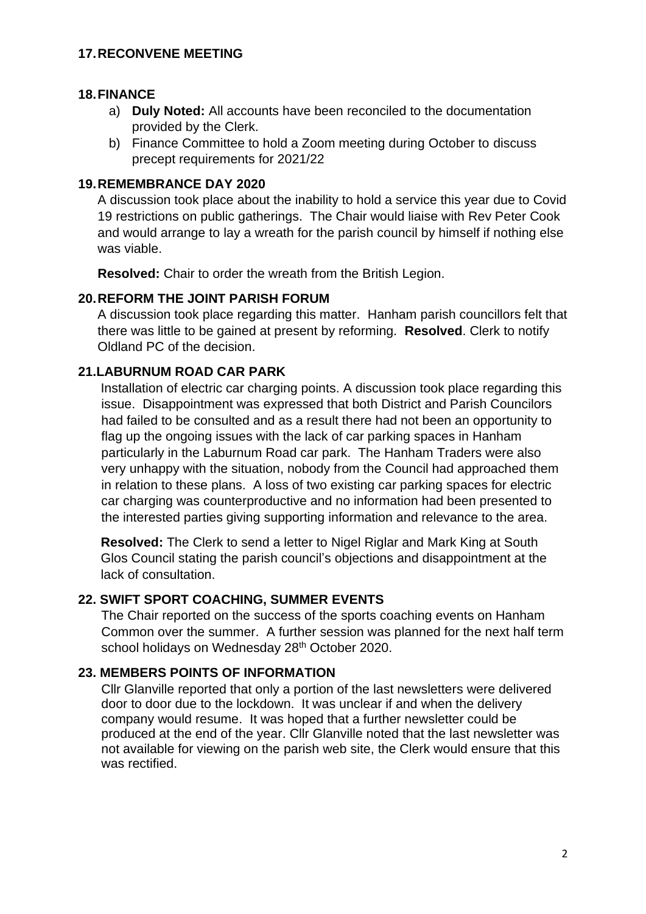#### **17.RECONVENE MEETING**

#### **18.FINANCE**

- a) **Duly Noted:** All accounts have been reconciled to the documentation provided by the Clerk.
- b) Finance Committee to hold a Zoom meeting during October to discuss precept requirements for 2021/22

#### **19.REMEMBRANCE DAY 2020**

A discussion took place about the inability to hold a service this year due to Covid 19 restrictions on public gatherings. The Chair would liaise with Rev Peter Cook and would arrange to lay a wreath for the parish council by himself if nothing else was viable.

**Resolved:** Chair to order the wreath from the British Legion.

#### **20.REFORM THE JOINT PARISH FORUM**

A discussion took place regarding this matter. Hanham parish councillors felt that there was little to be gained at present by reforming. **Resolved**. Clerk to notify Oldland PC of the decision.

# **21.LABURNUM ROAD CAR PARK**

Installation of electric car charging points. A discussion took place regarding this issue. Disappointment was expressed that both District and Parish Councilors had failed to be consulted and as a result there had not been an opportunity to flag up the ongoing issues with the lack of car parking spaces in Hanham particularly in the Laburnum Road car park. The Hanham Traders were also very unhappy with the situation, nobody from the Council had approached them in relation to these plans. A loss of two existing car parking spaces for electric car charging was counterproductive and no information had been presented to the interested parties giving supporting information and relevance to the area.

**Resolved:** The Clerk to send a letter to Nigel Riglar and Mark King at South Glos Council stating the parish council's objections and disappointment at the lack of consultation.

# **22. SWIFT SPORT COACHING, SUMMER EVENTS**

The Chair reported on the success of the sports coaching events on Hanham Common over the summer. A further session was planned for the next half term school holidays on Wednesday 28<sup>th</sup> October 2020.

# **23. MEMBERS POINTS OF INFORMATION**

Cllr Glanville reported that only a portion of the last newsletters were delivered door to door due to the lockdown. It was unclear if and when the delivery company would resume. It was hoped that a further newsletter could be produced at the end of the year. Cllr Glanville noted that the last newsletter was not available for viewing on the parish web site, the Clerk would ensure that this was rectified.